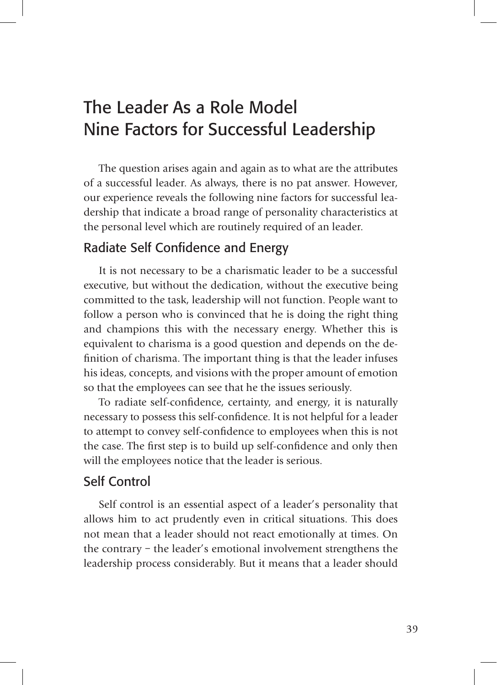# The Leader As a Role Model Nine Factors for Successful Leadership

The question arises again and again as to what are the attributes of a successful leader. As always, there is no pat answer. However, our experience reveals the following nine factors for successful leadership that indicate a broad range of personality characteristics at the personal level which are routinely required of an leader.

## Radiate Self Confidence and Energy

It is not necessary to be a charismatic leader to be a successful executive, but without the dedication, without the executive being committed to the task, leadership will not function. People want to follow a person who is convinced that he is doing the right thing and champions this with the necessary energy. Whether this is equivalent to charisma is a good question and depends on the definition of charisma. The important thing is that the leader infuses his ideas, concepts, and visions with the proper amount of emotion so that the employees can see that he the issues seriously.

To radiate self-confidence, certainty, and energy, it is naturally necessary to possess this self-confidence. It is not helpful for a leader to attempt to convey self-confidence to employees when this is not the case. The first step is to build up self-confidence and only then will the employees notice that the leader is serious.

## Self Control

Self control is an essential aspect of a leader's personality that allows him to act prudently even in critical situations. This does not mean that a leader should not react emotionally at times. On the contrary – the leader's emotional involvement strengthens the leadership process considerably. But it means that a leader should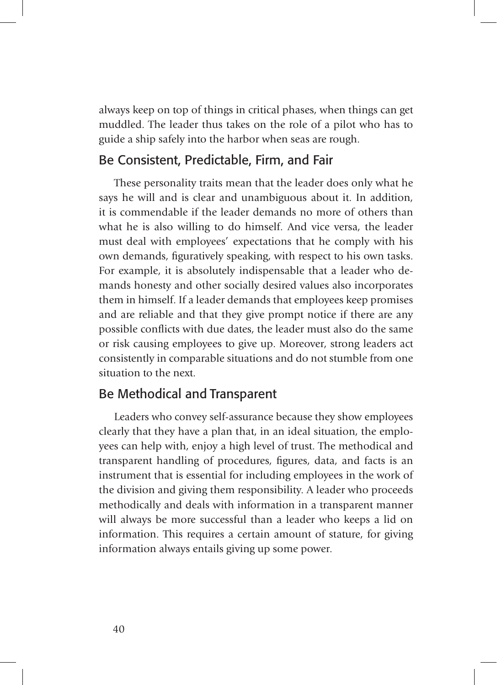always keep on top of things in critical phases, when things can get muddled. The leader thus takes on the role of a pilot who has to guide a ship safely into the harbor when seas are rough.

## Be Consistent, Predictable, Firm, and Fair

These personality traits mean that the leader does only what he says he will and is clear and unambiguous about it. In addition, it is commendable if the leader demands no more of others than what he is also willing to do himself. And vice versa, the leader must deal with employees' expectations that he comply with his own demands, figuratively speaking, with respect to his own tasks. For example, it is absolutely indispensable that a leader who demands honesty and other socially desired values also incorporates them in himself. If a leader demands that employees keep promises and are reliable and that they give prompt notice if there are any possible conflicts with due dates, the leader must also do the same or risk causing employees to give up. Moreover, strong leaders act consistently in comparable situations and do not stumble from one situation to the next.

#### Be Methodical and Transparent

Leaders who convey self-assurance because they show employees clearly that they have a plan that, in an ideal situation, the employees can help with, enjoy a high level of trust. The methodical and transparent handling of procedures, figures, data, and facts is an instrument that is essential for including employees in the work of the division and giving them responsibility. A leader who proceeds methodically and deals with information in a transparent manner will always be more successful than a leader who keeps a lid on information. This requires a certain amount of stature, for giving information always entails giving up some power.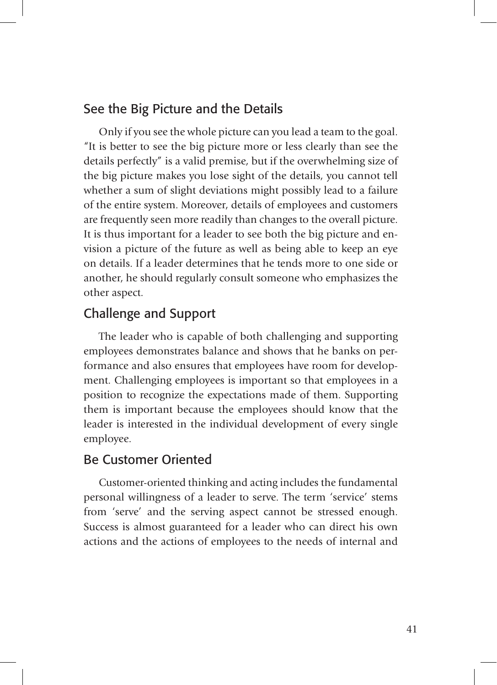## See the Big Picture and the Details

Only if you see the whole picture can you lead a team to the goal. "It is better to see the big picture more or less clearly than see the details perfectly" is a valid premise, but if the overwhelming size of the big picture makes you lose sight of the details, you cannot tell whether a sum of slight deviations might possibly lead to a failure of the entire system. Moreover, details of employees and customers are frequently seen more readily than changes to the overall picture. It is thus important for a leader to see both the big picture and envision a picture of the future as well as being able to keep an eye on details. If a leader determines that he tends more to one side or another, he should regularly consult someone who emphasizes the other aspect.

## Challenge and Support

The leader who is capable of both challenging and supporting employees demonstrates balance and shows that he banks on performance and also ensures that employees have room for development. Challenging employees is important so that employees in a position to recognize the expectations made of them. Supporting them is important because the employees should know that the leader is interested in the individual development of every single employee.

#### Be Customer Oriented

Customer-oriented thinking and acting includes the fundamental personal willingness of a leader to serve. The term 'service' stems from 'serve' and the serving aspect cannot be stressed enough. Success is almost guaranteed for a leader who can direct his own actions and the actions of employees to the needs of internal and